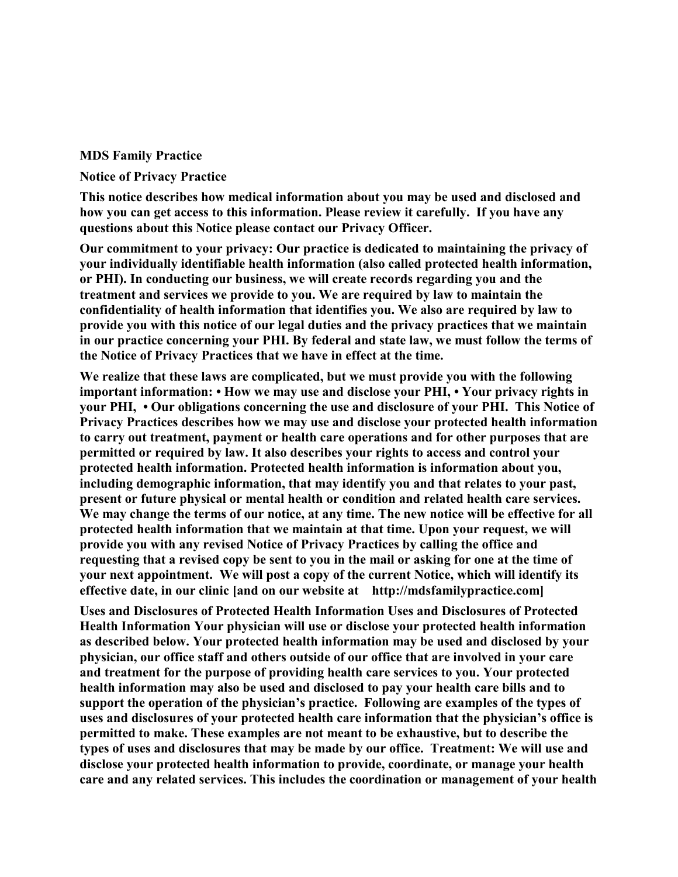## **MDS Family Practice**

## **Notice of Privacy Practice**

**This notice describes how medical information about you may be used and disclosed and how you can get access to this information. Please review it carefully. If you have any questions about this Notice please contact our Privacy Officer.** 

**Our commitment to your privacy: Our practice is dedicated to maintaining the privacy of your individually identifiable health information (also called protected health information, or PHI). In conducting our business, we will create records regarding you and the treatment and services we provide to you. We are required by law to maintain the confidentiality of health information that identifies you. We also are required by law to provide you with this notice of our legal duties and the privacy practices that we maintain in our practice concerning your PHI. By federal and state law, we must follow the terms of the Notice of Privacy Practices that we have in effect at the time.** 

**We realize that these laws are complicated, but we must provide you with the following important information: • How we may use and disclose your PHI, • Your privacy rights in your PHI, • Our obligations concerning the use and disclosure of your PHI. This Notice of Privacy Practices describes how we may use and disclose your protected health information to carry out treatment, payment or health care operations and for other purposes that are permitted or required by law. It also describes your rights to access and control your protected health information. Protected health information is information about you, including demographic information, that may identify you and that relates to your past, present or future physical or mental health or condition and related health care services. We may change the terms of our notice, at any time. The new notice will be effective for all protected health information that we maintain at that time. Upon your request, we will provide you with any revised Notice of Privacy Practices by calling the office and requesting that a revised copy be sent to you in the mail or asking for one at the time of your next appointment. We will post a copy of the current Notice, which will identify its effective date, in our clinic [and on our website at http://mdsfamilypractice.com]** 

**Uses and Disclosures of Protected Health Information Uses and Disclosures of Protected Health Information Your physician will use or disclose your protected health information as described below. Your protected health information may be used and disclosed by your physician, our office staff and others outside of our office that are involved in your care and treatment for the purpose of providing health care services to you. Your protected health information may also be used and disclosed to pay your health care bills and to support the operation of the physician's practice. Following are examples of the types of uses and disclosures of your protected health care information that the physician's office is permitted to make. These examples are not meant to be exhaustive, but to describe the types of uses and disclosures that may be made by our office. Treatment: We will use and disclose your protected health information to provide, coordinate, or manage your health care and any related services. This includes the coordination or management of your health**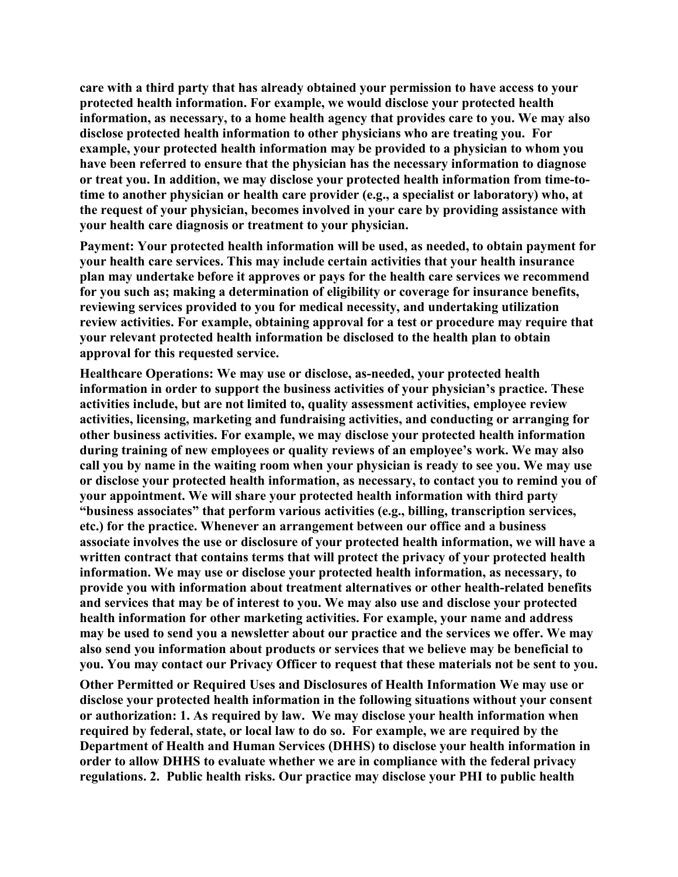**care with a third party that has already obtained your permission to have access to your protected health information. For example, we would disclose your protected health information, as necessary, to a home health agency that provides care to you. We may also disclose protected health information to other physicians who are treating you. For example, your protected health information may be provided to a physician to whom you have been referred to ensure that the physician has the necessary information to diagnose or treat you. In addition, we may disclose your protected health information from time-totime to another physician or health care provider (e.g., a specialist or laboratory) who, at the request of your physician, becomes involved in your care by providing assistance with your health care diagnosis or treatment to your physician.** 

**Payment: Your protected health information will be used, as needed, to obtain payment for your health care services. This may include certain activities that your health insurance plan may undertake before it approves or pays for the health care services we recommend for you such as; making a determination of eligibility or coverage for insurance benefits, reviewing services provided to you for medical necessity, and undertaking utilization review activities. For example, obtaining approval for a test or procedure may require that your relevant protected health information be disclosed to the health plan to obtain approval for this requested service.** 

**Healthcare Operations: We may use or disclose, as-needed, your protected health information in order to support the business activities of your physician's practice. These activities include, but are not limited to, quality assessment activities, employee review activities, licensing, marketing and fundraising activities, and conducting or arranging for other business activities. For example, we may disclose your protected health information during training of new employees or quality reviews of an employee's work. We may also call you by name in the waiting room when your physician is ready to see you. We may use or disclose your protected health information, as necessary, to contact you to remind you of your appointment. We will share your protected health information with third party "business associates" that perform various activities (e.g., billing, transcription services, etc.) for the practice. Whenever an arrangement between our office and a business associate involves the use or disclosure of your protected health information, we will have a written contract that contains terms that will protect the privacy of your protected health information. We may use or disclose your protected health information, as necessary, to provide you with information about treatment alternatives or other health-related benefits and services that may be of interest to you. We may also use and disclose your protected health information for other marketing activities. For example, your name and address may be used to send you a newsletter about our practice and the services we offer. We may also send you information about products or services that we believe may be beneficial to you. You may contact our Privacy Officer to request that these materials not be sent to you.** 

**Other Permitted or Required Uses and Disclosures of Health Information We may use or disclose your protected health information in the following situations without your consent or authorization: 1. As required by law. We may disclose your health information when required by federal, state, or local law to do so. For example, we are required by the Department of Health and Human Services (DHHS) to disclose your health information in order to allow DHHS to evaluate whether we are in compliance with the federal privacy regulations. 2. Public health risks. Our practice may disclose your PHI to public health**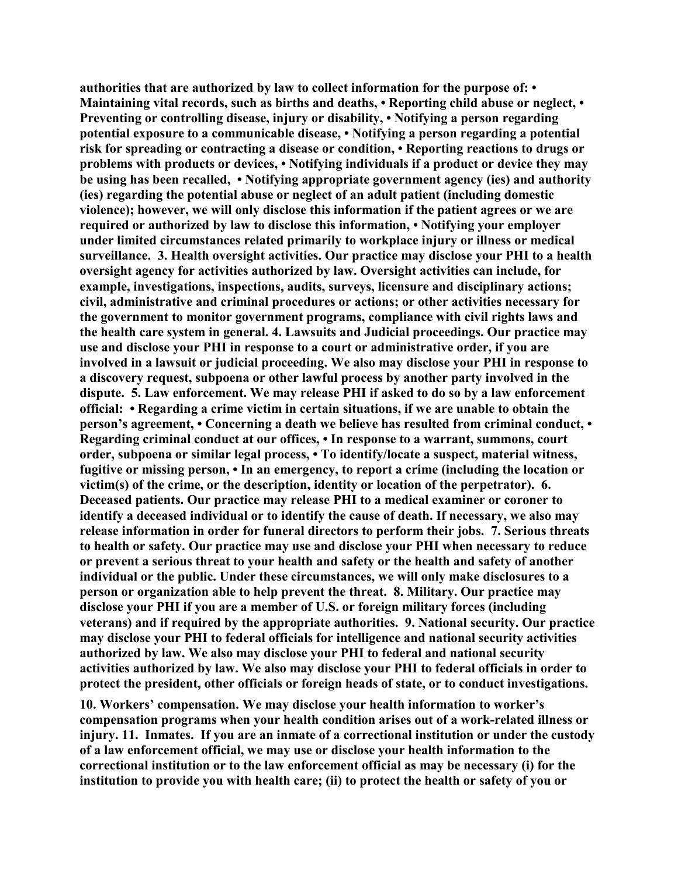**authorities that are authorized by law to collect information for the purpose of: • Maintaining vital records, such as births and deaths, • Reporting child abuse or neglect, • Preventing or controlling disease, injury or disability, • Notifying a person regarding potential exposure to a communicable disease, • Notifying a person regarding a potential risk for spreading or contracting a disease or condition, • Reporting reactions to drugs or problems with products or devices, • Notifying individuals if a product or device they may be using has been recalled, • Notifying appropriate government agency (ies) and authority (ies) regarding the potential abuse or neglect of an adult patient (including domestic violence); however, we will only disclose this information if the patient agrees or we are required or authorized by law to disclose this information, • Notifying your employer under limited circumstances related primarily to workplace injury or illness or medical surveillance. 3. Health oversight activities. Our practice may disclose your PHI to a health oversight agency for activities authorized by law. Oversight activities can include, for example, investigations, inspections, audits, surveys, licensure and disciplinary actions; civil, administrative and criminal procedures or actions; or other activities necessary for the government to monitor government programs, compliance with civil rights laws and the health care system in general. 4. Lawsuits and Judicial proceedings. Our practice may use and disclose your PHI in response to a court or administrative order, if you are involved in a lawsuit or judicial proceeding. We also may disclose your PHI in response to a discovery request, subpoena or other lawful process by another party involved in the dispute. 5. Law enforcement. We may release PHI if asked to do so by a law enforcement official: • Regarding a crime victim in certain situations, if we are unable to obtain the person's agreement, • Concerning a death we believe has resulted from criminal conduct, • Regarding criminal conduct at our offices, • In response to a warrant, summons, court order, subpoena or similar legal process, • To identify/locate a suspect, material witness, fugitive or missing person, • In an emergency, to report a crime (including the location or victim(s) of the crime, or the description, identity or location of the perpetrator). 6. Deceased patients. Our practice may release PHI to a medical examiner or coroner to identify a deceased individual or to identify the cause of death. If necessary, we also may release information in order for funeral directors to perform their jobs. 7. Serious threats to health or safety. Our practice may use and disclose your PHI when necessary to reduce or prevent a serious threat to your health and safety or the health and safety of another individual or the public. Under these circumstances, we will only make disclosures to a person or organization able to help prevent the threat. 8. Military. Our practice may disclose your PHI if you are a member of U.S. or foreign military forces (including veterans) and if required by the appropriate authorities. 9. National security. Our practice may disclose your PHI to federal officials for intelligence and national security activities authorized by law. We also may disclose your PHI to federal and national security activities authorized by law. We also may disclose your PHI to federal officials in order to protect the president, other officials or foreign heads of state, or to conduct investigations.** 

**10. Workers' compensation. We may disclose your health information to worker's compensation programs when your health condition arises out of a work-related illness or injury. 11. Inmates. If you are an inmate of a correctional institution or under the custody of a law enforcement official, we may use or disclose your health information to the correctional institution or to the law enforcement official as may be necessary (i) for the institution to provide you with health care; (ii) to protect the health or safety of you or**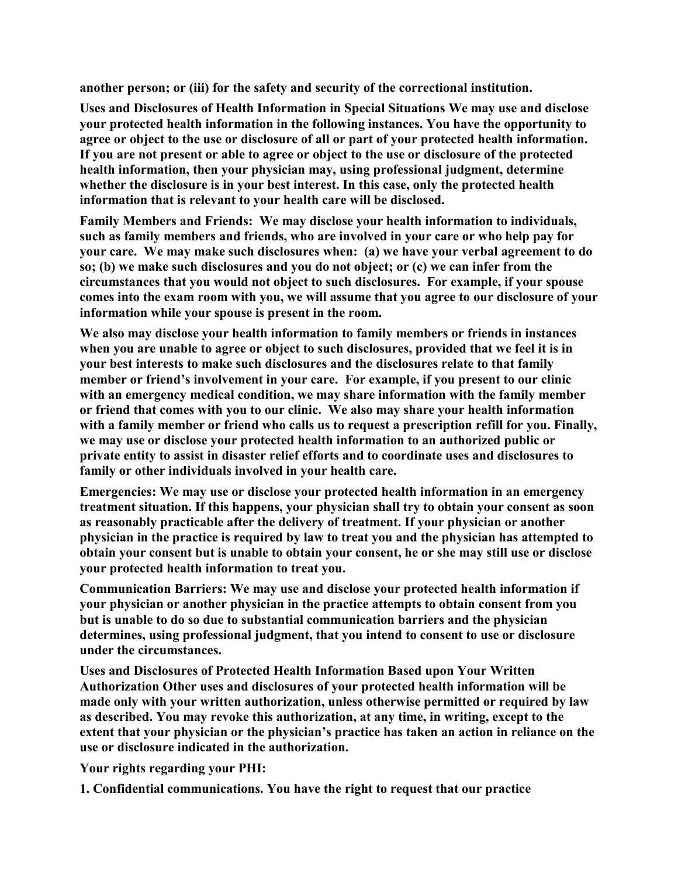**another person; or (iii) for the safety and security of the correctional institution.** 

**Uses and Disclosures of Health Information in Special Situations We may use and disclose your protected health information in the following instances. You have the opportunity to agree or object to the use or disclosure of all or part of your protected health information. If you are not present or able to agree or object to the use or disclosure of the protected health information, then your physician may, using professional judgment, determine whether the disclosure is in your best interest. In this case, only the protected health information that is relevant to your health care will be disclosed.** 

**Family Members and Friends: We may disclose your health information to individuals, such as family members and friends, who are involved in your care or who help pay for your care. We may make such disclosures when: (a) we have your verbal agreement to do so; (b) we make such disclosures and you do not object; or (c) we can infer from the circumstances that you would not object to such disclosures. For example, if your spouse comes into the exam room with you, we will assume that you agree to our disclosure of your information while your spouse is present in the room.** 

**We also may disclose your health information to family members or friends in instances when you are unable to agree or object to such disclosures, provided that we feel it is in your best interests to make such disclosures and the disclosures relate to that family member or friend's involvement in your care. For example, if you present to our clinic with an emergency medical condition, we may share information with the family member or friend that comes with you to our clinic. We also may share your health information with a family member or friend who calls us to request a prescription refill for you. Finally, we may use or disclose your protected health information to an authorized public or private entity to assist in disaster relief efforts and to coordinate uses and disclosures to family or other individuals involved in your health care.** 

**Emergencies: We may use or disclose your protected health information in an emergency treatment situation. If this happens, your physician shall try to obtain your consent as soon as reasonably practicable after the delivery of treatment. If your physician or another physician in the practice is required by law to treat you and the physician has attempted to obtain your consent but is unable to obtain your consent, he or she may still use or disclose your protected health information to treat you.** 

**Communication Barriers: We may use and disclose your protected health information if your physician or another physician in the practice attempts to obtain consent from you but is unable to do so due to substantial communication barriers and the physician determines, using professional judgment, that you intend to consent to use or disclosure under the circumstances.** 

**Uses and Disclosures of Protected Health Information Based upon Your Written Authorization Other uses and disclosures of your protected health information will be made only with your written authorization, unless otherwise permitted or required by law as described. You may revoke this authorization, at any time, in writing, except to the extent that your physician or the physician's practice has taken an action in reliance on the use or disclosure indicated in the authorization.** 

**Your rights regarding your PHI:** 

**1. Confidential communications. You have the right to request that our practice**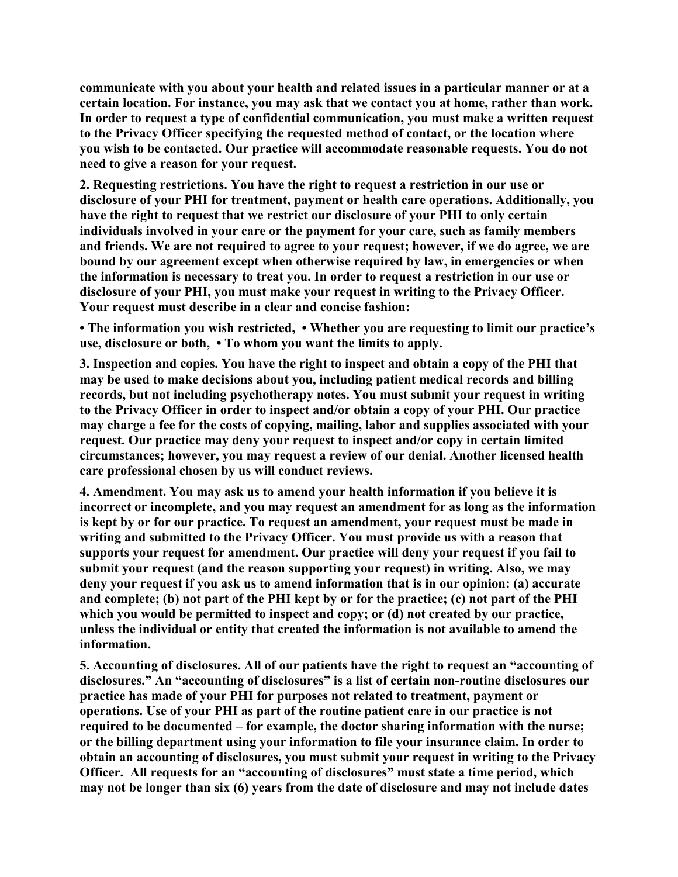**communicate with you about your health and related issues in a particular manner or at a certain location. For instance, you may ask that we contact you at home, rather than work. In order to request a type of confidential communication, you must make a written request to the Privacy Officer specifying the requested method of contact, or the location where you wish to be contacted. Our practice will accommodate reasonable requests. You do not need to give a reason for your request.** 

**2. Requesting restrictions. You have the right to request a restriction in our use or disclosure of your PHI for treatment, payment or health care operations. Additionally, you have the right to request that we restrict our disclosure of your PHI to only certain individuals involved in your care or the payment for your care, such as family members and friends. We are not required to agree to your request; however, if we do agree, we are**  bound by our agreement except when otherwise required by law, in emergencies or when **the information is necessary to treat you. In order to request a restriction in our use or disclosure of your PHI, you must make your request in writing to the Privacy Officer. Your request must describe in a clear and concise fashion:** 

**• The information you wish restricted, • Whether you are requesting to limit our practice's use, disclosure or both, • To whom you want the limits to apply.** 

**3. Inspection and copies. You have the right to inspect and obtain a copy of the PHI that may be used to make decisions about you, including patient medical records and billing records, but not including psychotherapy notes. You must submit your request in writing to the Privacy Officer in order to inspect and/or obtain a copy of your PHI. Our practice may charge a fee for the costs of copying, mailing, labor and supplies associated with your request. Our practice may deny your request to inspect and/or copy in certain limited circumstances; however, you may request a review of our denial. Another licensed health care professional chosen by us will conduct reviews.** 

**4. Amendment. You may ask us to amend your health information if you believe it is incorrect or incomplete, and you may request an amendment for as long as the information is kept by or for our practice. To request an amendment, your request must be made in writing and submitted to the Privacy Officer. You must provide us with a reason that supports your request for amendment. Our practice will deny your request if you fail to submit your request (and the reason supporting your request) in writing. Also, we may deny your request if you ask us to amend information that is in our opinion: (a) accurate and complete; (b) not part of the PHI kept by or for the practice; (c) not part of the PHI which you would be permitted to inspect and copy; or (d) not created by our practice, unless the individual or entity that created the information is not available to amend the information.** 

**5. Accounting of disclosures. All of our patients have the right to request an "accounting of disclosures." An "accounting of disclosures" is a list of certain non-routine disclosures our practice has made of your PHI for purposes not related to treatment, payment or operations. Use of your PHI as part of the routine patient care in our practice is not required to be documented – for example, the doctor sharing information with the nurse; or the billing department using your information to file your insurance claim. In order to obtain an accounting of disclosures, you must submit your request in writing to the Privacy Officer. All requests for an "accounting of disclosures" must state a time period, which may not be longer than six (6) years from the date of disclosure and may not include dates**